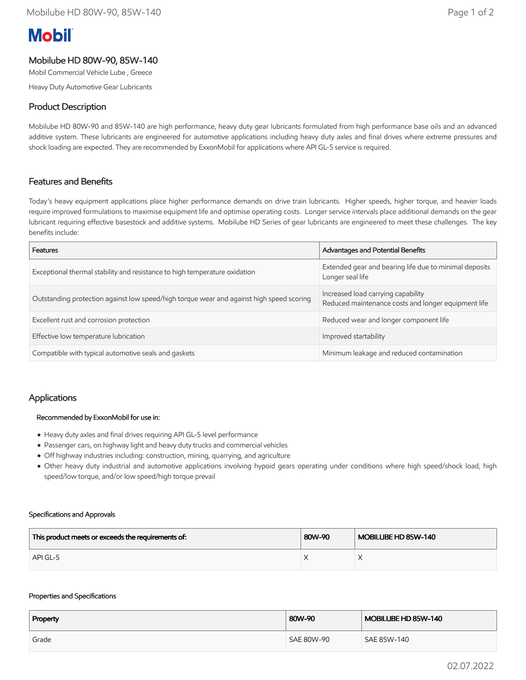# **Mobil**

# Mobilube HD 80W-90, 85W-140

Mobil Commercial Vehicle Lube , Greece

Heavy Duty Automotive Gear Lubricants

## Product Description

Mobilube HD 80W-90 and 85W-140 are high performance, heavy duty gear lubricants formulated from high performance base oils and an advanced additive system. These lubricants are engineered for automotive applications including heavy duty axles and final drives where extreme pressures and shock loading are expected. They are recommended by ExxonMobil for applications where API GL-5 service is required.

## Features and Benefits

Today's heavy equipment applications place higher performance demands on drive train lubricants. Higher speeds, higher torque, and heavier loads require improved formulations to maximise equipment life and optimise operating costs. Longer service intervals place additional demands on the gear lubricant requiring effective basestock and additive systems. Mobilube HD Series of gear lubricants are engineered to meet these challenges. The key benefits include:

| Features                                                                                 | Advantages and Potential Benefits                                                         |  |
|------------------------------------------------------------------------------------------|-------------------------------------------------------------------------------------------|--|
| Exceptional thermal stability and resistance to high temperature oxidation               | Extended gear and bearing life due to minimal deposits<br>Longer seal life                |  |
| Outstanding protection against low speed/high torque wear and against high speed scoring | Increased load carrying capability<br>Reduced maintenance costs and longer equipment life |  |
| Excellent rust and corrosion protection                                                  | Reduced wear and longer component life                                                    |  |
| Effective low temperature lubrication                                                    | Improved startability                                                                     |  |
| Compatible with typical automotive seals and gaskets                                     | Minimum leakage and reduced contamination                                                 |  |

## Applications

#### Recommended by ExxonMobil for use in:

- Heavy duty axles and final drives requiring API GL-5 level performance
- Passenger cars, on highway light and heavy duty trucks and commercial vehicles
- Off highway industries including: construction, mining, quarrying, and agriculture
- Other heavy duty industrial and automotive applications involving hypoid gears operating under conditions where high speed/shock load, high speed/low torque, and/or low speed/high torque prevail

#### Specifications and Approvals

| This product meets or exceeds the requirements of: | 80W-90 | MOBILUBE HD 85W-140 |
|----------------------------------------------------|--------|---------------------|
| API GL-5                                           |        |                     |

#### Properties and Specifications

| Property | 80W-90     | MOBILUBE HD 85W-140 |
|----------|------------|---------------------|
| Grade    | SAE 80W-90 | SAE 85W-140         |